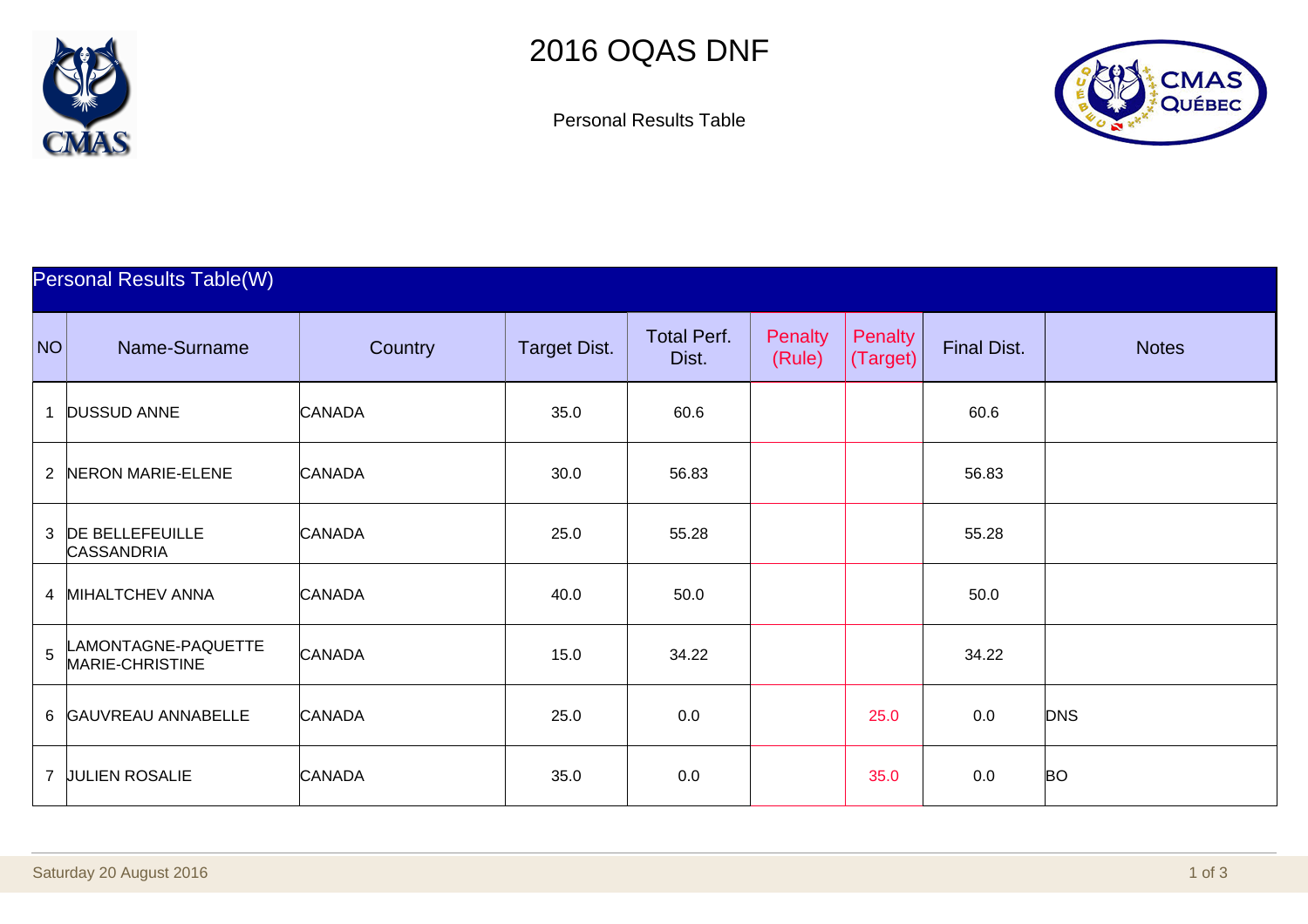



Personal Results Table

| <b>Personal Results Table(W)</b> |                                             |               |                     |                             |                          |                     |                    |              |  |
|----------------------------------|---------------------------------------------|---------------|---------------------|-----------------------------|--------------------------|---------------------|--------------------|--------------|--|
| NO                               | Name-Surname                                | Country       | <b>Target Dist.</b> | <b>Total Perf.</b><br>Dist. | <b>Penalty</b><br>(Rule) | Penalty<br>(Target) | <b>Final Dist.</b> | <b>Notes</b> |  |
| 1                                | <b>DUSSUD ANNE</b>                          | <b>CANADA</b> | 35.0                | 60.6                        |                          |                     | 60.6               |              |  |
| $\overline{2}$                   | NERON MARIE-ELENE                           | <b>CANADA</b> | 30.0                | 56.83                       |                          |                     | 56.83              |              |  |
| 3                                | <b>DE BELLEFEUILLE</b><br><b>CASSANDRIA</b> | <b>CANADA</b> | 25.0                | 55.28                       |                          |                     | 55.28              |              |  |
|                                  | 4 MIHALTCHEV ANNA                           | <b>CANADA</b> | 40.0                | 50.0                        |                          |                     | 50.0               |              |  |
| $\overline{5}$                   | LAMONTAGNE-PAQUETTE<br>MARIE-CHRISTINE      | <b>CANADA</b> | 15.0                | 34.22                       |                          |                     | 34.22              |              |  |
|                                  | 6 GAUVREAU ANNABELLE                        | <b>CANADA</b> | 25.0                | 0.0                         |                          | 25.0                | 0.0                | <b>DNS</b>   |  |
| $\overline{7}$                   | <b>JULIEN ROSALIE</b>                       | <b>CANADA</b> | 35.0                | 0.0                         |                          | 35.0                | 0.0                | <b>BO</b>    |  |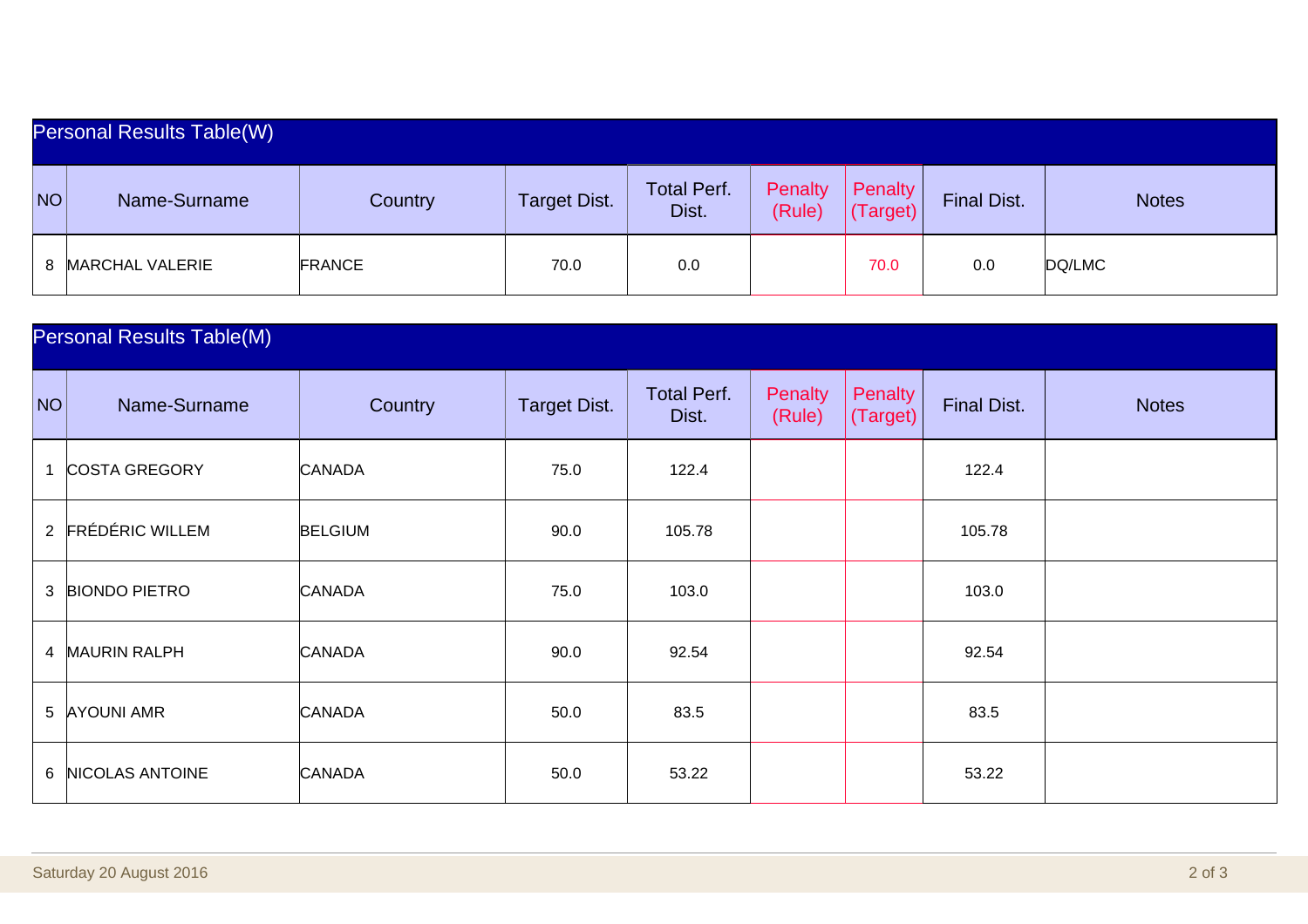| Personal Results Table(W) |                   |               |                     |                             |                   |                     |                    |              |
|---------------------------|-------------------|---------------|---------------------|-----------------------------|-------------------|---------------------|--------------------|--------------|
| NO                        | Name-Surname      | Country       | <b>Target Dist.</b> | <b>Total Perf.</b><br>Dist. | Penalty<br>(Rule) | Penalty<br>'Target) | <b>Final Dist.</b> | <b>Notes</b> |
|                           | 8 MARCHAL VALERIE | <b>FRANCE</b> | 70.0                | 0.0                         |                   | 70.0                | 0.0                | DQ/LMC       |

| <b>Personal Results Table(M)</b> |                      |                |                     |                             |                   |                     |                    |              |
|----------------------------------|----------------------|----------------|---------------------|-----------------------------|-------------------|---------------------|--------------------|--------------|
| NO                               | Name-Surname         | Country        | <b>Target Dist.</b> | <b>Total Perf.</b><br>Dist. | Penalty<br>(Rule) | Penalty<br>(Target) | <b>Final Dist.</b> | <b>Notes</b> |
|                                  | <b>COSTA GREGORY</b> | <b>CANADA</b>  | 75.0                | 122.4                       |                   |                     | 122.4              |              |
|                                  | 2 FRÉDÉRIC WILLEM    | <b>BELGIUM</b> | 90.0                | 105.78                      |                   |                     | 105.78             |              |
|                                  | 3 BIONDO PIETRO      | <b>CANADA</b>  | 75.0                | 103.0                       |                   |                     | 103.0              |              |
|                                  | 4 MAURIN RALPH       | <b>CANADA</b>  | 90.0                | 92.54                       |                   |                     | 92.54              |              |
|                                  | 5 AYOUNI AMR         | <b>CANADA</b>  | 50.0                | 83.5                        |                   |                     | 83.5               |              |
| 6                                | NICOLAS ANTOINE      | <b>CANADA</b>  | 50.0                | 53.22                       |                   |                     | 53.22              |              |